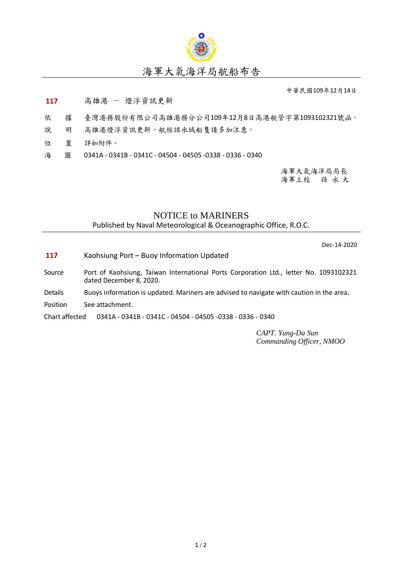

## 海軍大氣海洋局航船布告

中華民國109年12月14日

## 117 高雄港 - 燈浮資訊更新

- 依 據 臺灣港務股份有限公司高雄港務分公司109年12月8日高港航管字第1093102321號函。
- 說 明 高雄港燈浮資訊更新,航經該水域船隻請多加注意。
- 位 置 詳如附件。
- 海 圖 0341A 0341B 0341C 04504 04505 -0338 0336 0340

海軍大氣海洋局局長 海軍上校 孫 永 大

## NOTICE to MARINERS Published by Naval Meteorological & Oceanographic Office, R.O.C.

Dec-14-2020

- **117** Kaohsiung Port Buoy Information Updated
- Source Port of Kaohsiung, Taiwan International Ports Corporation Ltd., letter No. 1093102321 dated December 8, 2020.
- Details Buoys information is updated. Mariners are advised to navigate with caution in the area.
- Position See attachment.

Chart affected 0341A - 0341B - 0341C - 04504 - 04505 -0338 - 0336 - 0340

*CAPT. Yung-Da Sun Commanding Officer, NMOO*